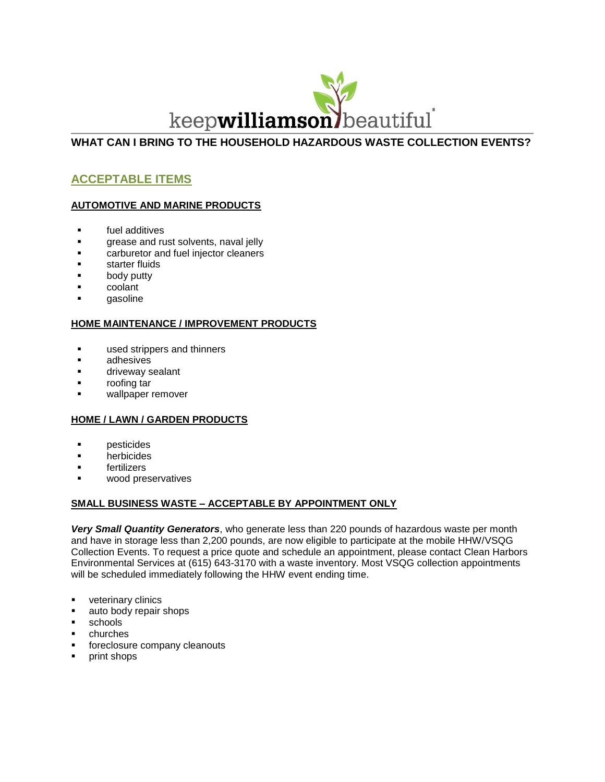

## **WHAT CAN I BRING TO THE HOUSEHOLD HAZARDOUS WASTE COLLECTION EVENTS?**

# **ACCEPTABLE ITEMS**

## **AUTOMOTIVE AND MARINE PRODUCTS**

- **Fig.** fuel additives
- **grease and rust solvents, naval jelly**
- **EXEC** carburetor and fuel injector cleaners
- starter fluids
- body putty
- coolant
- gasoline

## **HOME MAINTENANCE / IMPROVEMENT PRODUCTS**

- **used strippers and thinners**
- adhesives
- driveway sealant
- roofing tar
- wallpaper remover

## **HOME / LAWN / GARDEN PRODUCTS**

- **pesticides**
- herbicides
- fertilizers
- wood preservatives

## **SMALL BUSINESS WASTE – ACCEPTABLE BY APPOINTMENT ONLY**

*Very Small Quantity Generators*, who generate less than 220 pounds of hazardous waste per month and have in storage less than 2,200 pounds, are now eligible to participate at the mobile HHW/VSQG Collection Events. To request a price quote and schedule an appointment, please contact Clean Harbors Environmental Services at (615) 643-3170 with a waste inventory. Most VSQG collection appointments will be scheduled immediately following the HHW event ending time.

- veterinary clinics
- auto body repair shops
- **schools**
- churches
- foreclosure company cleanouts
- **print shops**